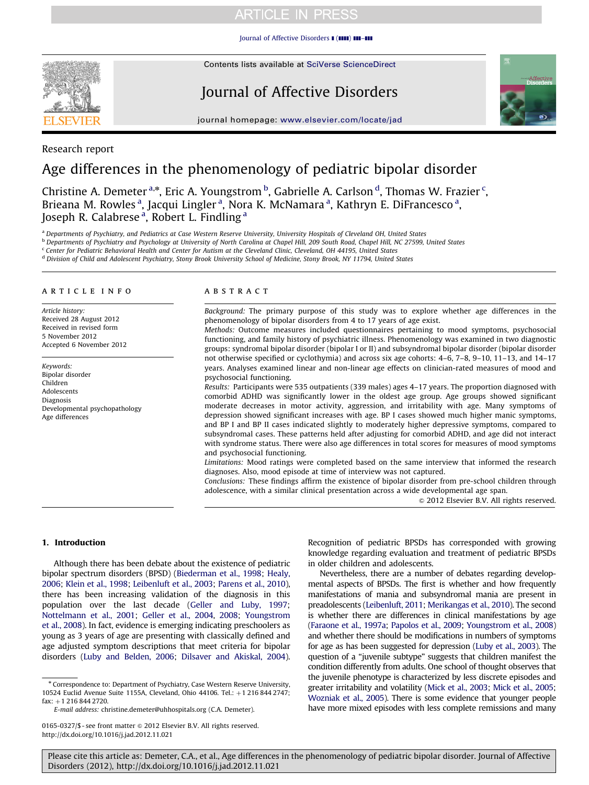[Journal of Affective Disorders](dx.doi.org/10.1016/j.jad.2012.11.021)  $\blacksquare$  ( $\blacksquare\blacksquare$ )  $\blacksquare\blacksquare\blacksquare\blacksquare$ 



Contents lists available at [SciVerse ScienceDirect](www.elsevier.com/locate/jad)

# Journal of Affective Disorders



journal homepage: <www.elsevier.com/locate/jad>

## Research report

# Age differences in the phenomenology of pediatric bipolar disorder

Christine A. Demeter<sup>a,\*</sup>, Eric A. Youngstrom <sup>b</sup>, Gabrielle A. Carlson <sup>d</sup>, Thomas W. Frazier <sup>c</sup>, Brieana M. Rowles<sup>a</sup>, Jacqui Lingler<sup>a</sup>, Nora K. McNamara<sup>a</sup>, Kathryn E. DiFrancesco<sup>a</sup>, Joseph R. Calabrese<sup>a</sup>, Robert L. Findling<sup>a</sup>

a Departments of Psychiatry, and Pediatrics at Case Western Reserve University, University Hospitals of Cleveland OH, United States

<sup>b</sup> Departments of Psychiatry and Psychology at University of North Carolina at Chapel Hill, 209 South Road, Chapel Hill, NC 27599, United States

<sup>c</sup> Center for Pediatric Behavioral Health and Center for Autism at the Cleveland Clinic, Cleveland, OH 44195, United States

<sup>d</sup> Division of Child and Adolescent Psychiatry, Stony Brook University School of Medicine, Stony Brook, NY 11794, United States

## article info

Article history: Received 28 August 2012 Received in revised form 5 November 2012 Accepted 6 November 2012

Keywords: Bipolar disorder Children Adolescents Diagnosis Developmental psychopathology Age differences

## ABSTRACT

Background: The primary purpose of this study was to explore whether age differences in the phenomenology of bipolar disorders from 4 to 17 years of age exist.

Methods: Outcome measures included questionnaires pertaining to mood symptoms, psychosocial functioning, and family history of psychiatric illness. Phenomenology was examined in two diagnostic groups: syndromal bipolar disorder (bipolar I or II) and subsyndromal bipolar disorder (bipolar disorder not otherwise specified or cyclothymia) and across six age cohorts: 4–6, 7–8, 9–10, 11–13, and 14–17 years. Analyses examined linear and non-linear age effects on clinician-rated measures of mood and psychosocial functioning.

Results: Participants were 535 outpatients (339 males) ages 4–17 years. The proportion diagnosed with comorbid ADHD was significantly lower in the oldest age group. Age groups showed significant moderate decreases in motor activity, aggression, and irritability with age. Many symptoms of depression showed significant increases with age. BP I cases showed much higher manic symptoms, and BP I and BP II cases indicated slightly to moderately higher depressive symptoms, compared to subsyndromal cases. These patterns held after adjusting for comorbid ADHD, and age did not interact with syndrome status. There were also age differences in total scores for measures of mood symptoms and psychosocial functioning.

Limitations: Mood ratings were completed based on the same interview that informed the research diagnoses. Also, mood episode at time of interview was not captured.

Conclusions: These findings affirm the existence of bipolar disorder from pre-school children through adolescence, with a similar clinical presentation across a wide developmental age span.

 $@$  2012 Elsevier B.V. All rights reserved.

## 1. Introduction

Although there has been debate about the existence of pediatric bipolar spectrum disorders (BPSD) ([Biederman et al., 1998](#page-7-0); [Healy,](#page-8-0) [2006](#page-8-0); [Klein et al., 1998](#page-8-0); [Leibenluft et al., 2003](#page-8-0); [Parens et al., 2010\)](#page-8-0), there has been increasing validation of the diagnosis in this population over the last decade ([Geller and Luby, 1997;](#page-7-0) [Nottelmann et al., 2001;](#page-8-0) [Geller et al., 2004,](#page-8-0) [2008;](#page-8-0) [Youngstrom](#page-8-0) [et al., 2008\)](#page-8-0). In fact, evidence is emerging indicating preschoolers as young as 3 years of age are presenting with classically defined and age adjusted symptom descriptions that meet criteria for bipolar disorders [\(Luby and Belden, 2006](#page-8-0); [Dilsaver and Akiskal, 2004\)](#page-7-0).

Recognition of pediatric BPSDs has corresponded with growing knowledge regarding evaluation and treatment of pediatric BPSDs in older children and adolescents.

Nevertheless, there are a number of debates regarding developmental aspects of BPSDs. The first is whether and how frequently manifestations of mania and subsyndromal mania are present in preadolescents [\(Leibenluft, 2011;](#page-8-0) [Merikangas et al., 2010](#page-8-0)). The second is whether there are differences in clinical manifestations by age [\(Faraone et al., 1997a](#page-7-0); [Papolos et al., 2009;](#page-8-0) [Youngstrom et al., 2008\)](#page-8-0) and whether there should be modifications in numbers of symptoms for age as has been suggested for depression [\(Luby et al., 2003\)](#page-8-0). The question of a ''juvenile subtype'' suggests that children manifest the condition differently from adults. One school of thought observes that the juvenile phenotype is characterized by less discrete episodes and greater irritability and volatility [\(Mick et al., 2003](#page-8-0); [Mick et al., 2005;](#page-8-0) [Wozniak et al., 2005\)](#page-8-0). There is some evidence that younger people have more mixed episodes with less complete remissions and many

<sup>n</sup> Correspondence to: Department of Psychiatry, Case Western Reserve University, 10524 Euclid Avenue Suite 1155A, Cleveland, Ohio 44106. Tel.: +1216 844 2747;  $fax: +1 216 844 2720.$ 

E-mail address: [christine.demeter@uhhospitals.org \(C.A. Demeter\)](mailto:christine.demeter@uhhospitals.org).

<sup>0165-0327/\$ -</sup> see front matter @ 2012 Elsevier B.V. All rights reserved. [http://dx.doi.org/10.1016/j.jad.2012.11.021](dx.doi.org/10.1016/j.jad.2012.11.021)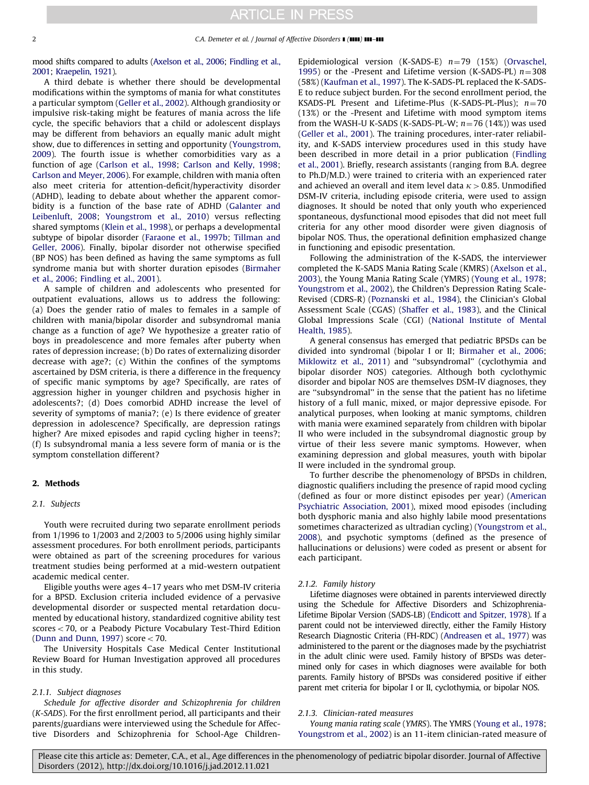mood shifts compared to adults [\(Axelson et al., 2006;](#page-7-0) [Findling et al.,](#page-7-0) [2001;](#page-7-0) [Kraepelin, 1921](#page-8-0)).

A third debate is whether there should be developmental modifications within the symptoms of mania for what constitutes a particular symptom ([Geller et al., 2002](#page-8-0)). Although grandiosity or impulsive risk-taking might be features of mania across the life cycle, the specific behaviors that a child or adolescent displays may be different from behaviors an equally manic adult might show, due to differences in setting and opportunity [\(Youngstrom,](#page-8-0) [2009\)](#page-8-0). The fourth issue is whether comorbidities vary as a function of age [\(Carlson et al., 1998;](#page-7-0) [Carlson and Kelly, 1998;](#page-7-0) [Carlson and Meyer, 2006\)](#page-7-0). For example, children with mania often also meet criteria for attention-deficit/hyperactivity disorder (ADHD), leading to debate about whether the apparent comorbidity is a function of the base rate of ADHD ([Galanter and](#page-7-0) [Leibenluft, 2008](#page-7-0); [Youngstrom et al., 2010](#page-8-0)) versus reflecting shared symptoms [\(Klein et al., 1998\)](#page-8-0), or perhaps a developmental subtype of bipolar disorder ([Faraone et al., 1997b](#page-7-0); [Tillman and](#page-8-0) [Geller, 2006](#page-8-0)). Finally, bipolar disorder not otherwise specified (BP NOS) has been defined as having the same symptoms as full syndrome mania but with shorter duration episodes [\(Birmaher](#page-7-0) [et al., 2006;](#page-7-0) [Findling et al., 2001](#page-7-0)).

A sample of children and adolescents who presented for outpatient evaluations, allows us to address the following: (a) Does the gender ratio of males to females in a sample of children with mania/bipolar disorder and subsyndromal mania change as a function of age? We hypothesize a greater ratio of boys in preadolescence and more females after puberty when rates of depression increase; (b) Do rates of externalizing disorder decrease with age?; (c) Within the confines of the symptoms ascertained by DSM criteria, is there a difference in the frequency of specific manic symptoms by age? Specifically, are rates of aggression higher in younger children and psychosis higher in adolescents?; (d) Does comorbid ADHD increase the level of severity of symptoms of mania?; (e) Is there evidence of greater depression in adolescence? Specifically, are depression ratings higher? Are mixed episodes and rapid cycling higher in teens?; (f) Is subsyndromal mania a less severe form of mania or is the symptom constellation different?

## 2. Methods

## 2.1. Subjects

Youth were recruited during two separate enrollment periods from 1/1996 to 1/2003 and 2/2003 to 5/2006 using highly similar assessment procedures. For both enrollment periods, participants were obtained as part of the screening procedures for various treatment studies being performed at a mid-western outpatient academic medical center.

Eligible youths were ages 4–17 years who met DSM-IV criteria for a BPSD. Exclusion criteria included evidence of a pervasive developmental disorder or suspected mental retardation documented by educational history, standardized cognitive ability test  $scores < 70$ , or a Peabody Picture Vocabulary Test-Third Edition ([Dunn and Dunn, 1997](#page-7-0)) score $<$  70.

The University Hospitals Case Medical Center Institutional Review Board for Human Investigation approved all procedures in this study.

#### 2.1.1. Subject diagnoses

Schedule for affective disorder and Schizophrenia for children (K-SADS). For the first enrollment period, all participants and their parents/guardians were interviewed using the Schedule for Affective Disorders and Schizophrenia for School-Age ChildrenEpidemiological version (K-SADS-E)  $n=79$  (15%) [\(Orvaschel,](#page-8-0) [1995\)](#page-8-0) or the -Present and Lifetime version (K-SADS-PL)  $n=308$ (58%) ([Kaufman et al., 1997\)](#page-8-0). The K-SADS-PL replaced the K-SADS-E to reduce subject burden. For the second enrollment period, the KSADS-PL Present and Lifetime-Plus (K-SADS-PL-Plus);  $n=70$ (13%) or the -Present and Lifetime with mood symptom items from the WASH-U K-SADS (K-SADS-PL-W;  $n=76$  (14%)) was used ([Geller et al., 2001\)](#page-8-0). The training procedures, inter-rater reliability, and K-SADS interview procedures used in this study have been described in more detail in a prior publication ([Findling](#page-7-0) [et al., 2001\)](#page-7-0). Briefly, research assistants (ranging from B.A. degree to Ph.D/M.D.) were trained to criteria with an experienced rater and achieved an overall and item level data  $\kappa > 0.85$ . Unmodified DSM-IV criteria, including episode criteria, were used to assign diagnoses. It should be noted that only youth who experienced spontaneous, dysfunctional mood episodes that did not meet full criteria for any other mood disorder were given diagnosis of bipolar NOS. Thus, the operational definition emphasized change in functioning and episodic presentation.

Following the administration of the K-SADS, the interviewer completed the K-SADS Mania Rating Scale (KMRS) ([Axelson et al.,](#page-7-0) [2003\)](#page-7-0), the Young Mania Rating Scale (YMRS) [\(Young et al., 1978;](#page-8-0) [Youngstrom et al., 2002\)](#page-8-0), the Children's Depression Rating Scale-Revised (CDRS-R) ([Poznanski et al., 1984\)](#page-8-0), the Clinician's Global Assessment Scale (CGAS) ([Shaffer et al., 1983\)](#page-8-0), and the Clinical Global Impressions Scale (CGI) ([National Institute of Mental](#page-8-0) [Health, 1985](#page-8-0)).

A general consensus has emerged that pediatric BPSDs can be divided into syndromal (bipolar I or II; [Birmaher et al., 2006;](#page-7-0) [Miklowitz et al., 2011](#page-8-0)) and ''subsyndromal'' (cyclothymia and bipolar disorder NOS) categories. Although both cyclothymic disorder and bipolar NOS are themselves DSM-IV diagnoses, they are ''subsyndromal'' in the sense that the patient has no lifetime history of a full manic, mixed, or major depressive episode. For analytical purposes, when looking at manic symptoms, children with mania were examined separately from children with bipolar II who were included in the subsyndromal diagnostic group by virtue of their less severe manic symptoms. However, when examining depression and global measures, youth with bipolar II were included in the syndromal group.

To further describe the phenomenology of BPSDs in children, diagnostic qualifiers including the presence of rapid mood cycling (defined as four or more distinct episodes per year) [\(American](#page-7-0) [Psychiatric Association, 2001](#page-7-0)), mixed mood episodes (including both dysphoric mania and also highly labile mood presentations sometimes characterized as ultradian cycling) [\(Youngstrom et al.,](#page-8-0) [2008\)](#page-8-0), and psychotic symptoms (defined as the presence of hallucinations or delusions) were coded as present or absent for each participant.

## 2.1.2. Family history

Lifetime diagnoses were obtained in parents interviewed directly using the Schedule for Affective Disorders and Schizophrenia-Lifetime Bipolar Version (SADS-LB) ([Endicott and Spitzer, 1978](#page-7-0)). If a parent could not be interviewed directly, either the Family History Research Diagnostic Criteria (FH-RDC) [\(Andreasen et al., 1977](#page-7-0)) was administered to the parent or the diagnoses made by the psychiatrist in the adult clinic were used. Family history of BPSDs was determined only for cases in which diagnoses were available for both parents. Family history of BPSDs was considered positive if either parent met criteria for bipolar I or II, cyclothymia, or bipolar NOS.

#### 2.1.3. Clinician-rated measures

Young mania rating scale (YMRS). The YMRS ([Young et al., 1978;](#page-8-0) [Youngstrom et al., 2002](#page-8-0)) is an 11-item clinician-rated measure of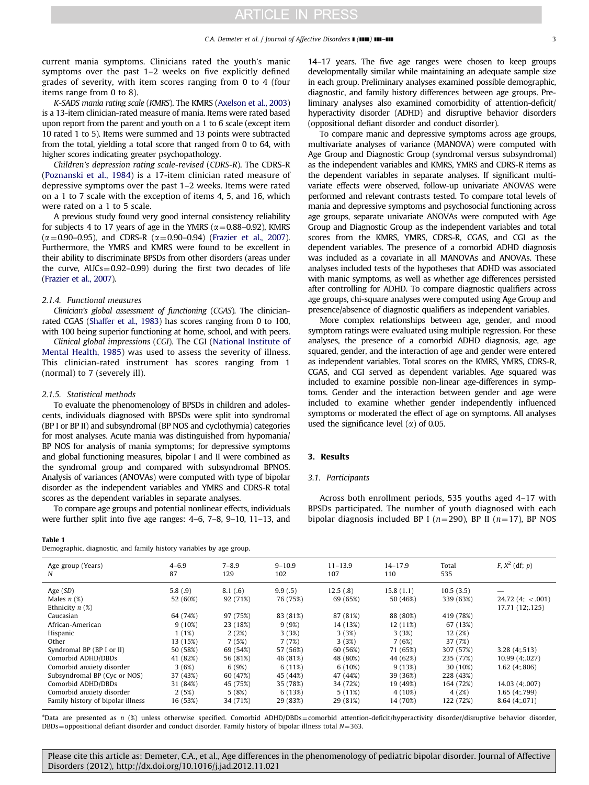<span id="page-2-0"></span>current mania symptoms. Clinicians rated the youth's manic symptoms over the past 1–2 weeks on five explicitly defined grades of severity, with item scores ranging from 0 to 4 (four items range from 0 to 8).

K-SADS mania rating scale (KMRS). The KMRS [\(Axelson et al., 2003\)](#page-7-0) is a 13-item clinician-rated measure of mania. Items were rated based upon report from the parent and youth on a 1 to 6 scale (except item 10 rated 1 to 5). Items were summed and 13 points were subtracted from the total, yielding a total score that ranged from 0 to 64, with higher scores indicating greater psychopathology.

Children's depression rating scale-revised (CDRS-R). The CDRS-R ([Poznanski et al., 1984](#page-8-0)) is a 17-item clinician rated measure of depressive symptoms over the past 1–2 weeks. Items were rated on a 1 to 7 scale with the exception of items 4, 5, and 16, which were rated on a 1 to 5 scale.

A previous study found very good internal consistency reliability for subjects 4 to 17 years of age in the YMRS ( $\alpha$  = 0.88–0.92), KMRS  $(\alpha=0.90-0.95)$ , and CDRS-R  $(\alpha=0.90-0.94)$  [\(Frazier et al., 2007\)](#page-7-0). Furthermore, the YMRS and KMRS were found to be excellent in their ability to discriminate BPSDs from other disorders (areas under the curve,  $AUCs = 0.92-0.99$ ) during the first two decades of life [\(Frazier et al., 2007\)](#page-7-0).

## 2.1.4. Functional measures

Clinician's global assessment of functioning (CGAS). The clinicianrated CGAS [\(Shaffer et al., 1983\)](#page-8-0) has scores ranging from 0 to 100, with 100 being superior functioning at home, school, and with peers.

Clinical global impressions (CGI). The CGI [\(National Institute of](#page-8-0) [Mental Health, 1985\)](#page-8-0) was used to assess the severity of illness. This clinician-rated instrument has scores ranging from 1 (normal) to 7 (severely ill).

## 2.1.5. Statistical methods

To evaluate the phenomenology of BPSDs in children and adolescents, individuals diagnosed with BPSDs were split into syndromal (BP I or BP II) and subsyndromal (BP NOS and cyclothymia) categories for most analyses. Acute mania was distinguished from hypomania/ BP NOS for analysis of mania symptoms; for depressive symptoms and global functioning measures, bipolar I and II were combined as the syndromal group and compared with subsyndromal BPNOS. Analysis of variances (ANOVAs) were computed with type of bipolar disorder as the independent variables and YMRS and CDRS-R total scores as the dependent variables in separate analyses.

To compare age groups and potential nonlinear effects, individuals were further split into five age ranges: 4–6, 7–8, 9–10, 11–13, and

#### Table 1

Demographic, diagnostic, and family history variables by age group.

14–17 years. The five age ranges were chosen to keep groups developmentally similar while maintaining an adequate sample size in each group. Preliminary analyses examined possible demographic, diagnostic, and family history differences between age groups. Preliminary analyses also examined comorbidity of attention-deficit/ hyperactivity disorder (ADHD) and disruptive behavior disorders (oppositional defiant disorder and conduct disorder).

To compare manic and depressive symptoms across age groups, multivariate analyses of variance (MANOVA) were computed with Age Group and Diagnostic Group (syndromal versus subsyndromal) as the independent variables and KMRS, YMRS and CDRS-R items as the dependent variables in separate analyses. If significant multivariate effects were observed, follow-up univariate ANOVAS were performed and relevant contrasts tested. To compare total levels of mania and depressive symptoms and psychosocial functioning across age groups, separate univariate ANOVAs were computed with Age Group and Diagnostic Group as the independent variables and total scores from the KMRS, YMRS, CDRS-R, CGAS, and CGI as the dependent variables. The presence of a comorbid ADHD diagnosis was included as a covariate in all MANOVAs and ANOVAs. These analyses included tests of the hypotheses that ADHD was associated with manic symptoms, as well as whether age differences persisted after controlling for ADHD. To compare diagnostic qualifiers across age groups, chi-square analyses were computed using Age Group and presence/absence of diagnostic qualifiers as independent variables.

More complex relationships between age, gender, and mood symptom ratings were evaluated using multiple regression. For these analyses, the presence of a comorbid ADHD diagnosis, age, age squared, gender, and the interaction of age and gender were entered as independent variables. Total scores on the KMRS, YMRS, CDRS-R, CGAS, and CGI served as dependent variables. Age squared was included to examine possible non-linear age-differences in symptoms. Gender and the interaction between gender and age were included to examine whether gender independently influenced symptoms or moderated the effect of age on symptoms. All analyses used the significance level  $(\alpha)$  of 0.05.

## 3. Results

## 3.1. Participants

Across both enrollment periods, 535 youths aged 4–17 with BPSDs participated. The number of youth diagnosed with each bipolar diagnosis included BP I ( $n=290$ ), BP II ( $n=17$ ), BP NOS

| Age group (Years)                                   | $4 - 6.9$           | $7 - 8.9$           | $9 - 10.9$          | $11 - 13.9$          | $14 - 17.9$           | Total                  | $F, X^2$ (df; p)                   |
|-----------------------------------------------------|---------------------|---------------------|---------------------|----------------------|-----------------------|------------------------|------------------------------------|
| Ν                                                   | 87                  | 129                 | 102                 | 107                  | 110                   | 535                    |                                    |
| Age $(SD)$<br>Males $n$ $(\%)$<br>Ethnicity $n$ (%) | 5.8(.9)<br>52 (60%) | 8.1(.6)<br>92 (71%) | 9.9(.5)<br>76 (75%) | 12.5(.8)<br>69 (65%) | 15.8(1.1)<br>50 (46%) | 10.5(3.5)<br>339 (63%) | 24.72(4; < .001)<br>17.71 (12:125) |
| Caucasian                                           | 64 (74%)            | 97 (75%)            | 83 (81%)            | 87 (81%)             | 88 (80%)              | 419 (78%)              |                                    |
| African-American                                    | $9(10\%)$           | 23 (18%)            | 9(9%)               | 14 (13%)             | 12 (11%)              | 67 (13%)               |                                    |
| Hispanic                                            | 1(1%)               | 2(2%)               | 3(3%)               | 3(3%)                | 3(3%)                 | 12(2%)                 |                                    |
| Other                                               | 13 (15%)            | 7(5%)               | 7(7%)               | 3(3%)                | 7(6%)                 | 37 (7%)                |                                    |
| Syndromal BP (BP I or II)                           | 50 (58%)            | 69 (54%)            | 57 (56%)            | 60 (56%)             | 71 (65%)              | 307 (57%)              | 3.28(4:513)                        |
| Comorbid ADHD/DBDs                                  | 41 (82%)            | 56 (81%)            | 46 (81%)            | 48 (80%)             | 44 (62%)              | 235 (77%)              | 10.99 (4:.027)                     |
| Comorbid anxiety disorder                           | 3(6%)               | 6(9%)               | 6(11%)              | $6(10\%)$            | 9(13%)                | 30 (10%)               | 1.62 (4:.806)                      |
| Subsyndromal BP (Cyc or NOS)                        | 37 (43%)            | 60 (47%)            | 45 (44%)            | 47 (44%)             | 39 (36%)              | 228 (43%)              |                                    |
| Comorbid ADHD/DBDs                                  | 31 (84%)            | 45 (75%)            | 35 (78%)            | 34 (72%)             | 19 (49%)              | 164 (72%)              | 14.03 (4;.007)                     |
| Comorbid anxiety disorder                           | 2(5%)               | 5(8%)               | 6(13%)              | $5(11\%)$            | 4 (10%)               | 4(2%)                  | 1.65(4; .799)                      |
| Family history of bipolar illness                   | 16 (53%)            | 34 (71%)            | 29 (83%)            | 29 (81%)             | 14 (70%)              | 122 (72%)              | 8.64(4;071)                        |
|                                                     |                     |                     |                     |                      |                       |                        |                                    |

\*Data are presented as n (%) unless otherwise specified. Comorbid ADHD/DBDs=comorbid attention-deficit/hyperactivity disorder/disruptive behavior disorder, DBDs = oppositional defiant disorder and conduct disorder. Family history of bipolar illness total  $N=363$ .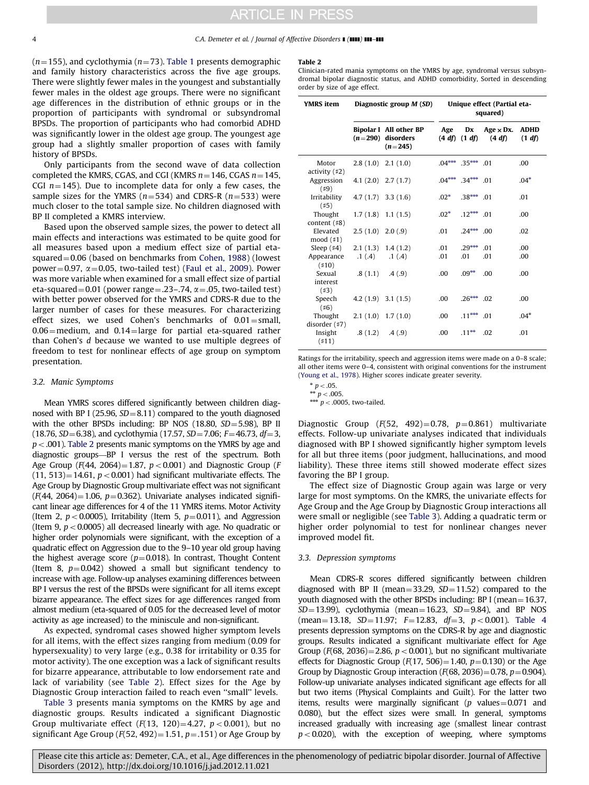$(n=155)$ , and cyclothymia (n=73). [Table 1](#page-2-0) presents demographic and family history characteristics across the five age groups. There were slightly fewer males in the youngest and substantially fewer males in the oldest age groups. There were no significant age differences in the distribution of ethnic groups or in the proportion of participants with syndromal or subsyndromal BPSDs. The proportion of participants who had comorbid ADHD was significantly lower in the oldest age group. The youngest age group had a slightly smaller proportion of cases with family history of BPSDs.

Only participants from the second wave of data collection completed the KMRS, CGAS, and CGI (KMRS  $n = 146$ , CGAS  $n = 145$ , CGI  $n=145$ ). Due to incomplete data for only a few cases, the sample sizes for the YMRS ( $n=534$ ) and CDRS-R ( $n=533$ ) were much closer to the total sample size. No children diagnosed with BP II completed a KMRS interview.

Based upon the observed sample sizes, the power to detect all main effects and interactions was estimated to be quite good for all measures based upon a medium effect size of partial etasquared $=0.06$  (based on benchmarks from [Cohen, 1988\)](#page-7-0) (lowest power=0.97,  $\alpha$ =0.05, two-tailed test) [\(Faul et al., 2009](#page-7-0)). Power was more variable when examined for a small effect size of partial eta-squared = 0.01 (power range = .23–.74,  $\alpha$  = .05, two-tailed test) with better power observed for the YMRS and CDRS-R due to the larger number of cases for these measures. For characterizing effect sizes, we used Cohen's benchmarks of  $0.01 = \text{small}$ ,  $0.06$  = medium, and  $0.14$  = large for partial eta-squared rather than Cohen's d because we wanted to use multiple degrees of freedom to test for nonlinear effects of age group on symptom presentation.

## 3.2. Manic Symptoms

Mean YMRS scores differed significantly between children diagnosed with BP I (25.96,  $SD = 8.11$ ) compared to the youth diagnosed with the other BPSDs including: BP NOS (18.80,  $SD = 5.98$ ), BP II (18.76, SD=6.38), and cyclothymia (17.57, SD=7.06; F=46.73, df=3,  $p < .001$ ). Table 2 presents manic symptoms on the YMRS by age and diagnostic groups—BP I versus the rest of the spectrum. Both Age Group ( $F(44, 2064) = 1.87$ ,  $p < 0.001$ ) and Diagnostic Group (F)  $(11, 513) = 14.61$ ,  $p < 0.001$ ) had significant multivariate effects. The Age Group by Diagnostic Group multivariate effect was not significant  $(F(44, 2064) = 1.06, p = 0.362)$ . Univariate analyses indicated significant linear age differences for 4 of the 11 YMRS items. Motor Activity (Item 2,  $p < 0.0005$ ), Irritability (Item 5,  $p = 0.011$ ), and Aggression (Item 9,  $p < 0.0005$ ) all decreased linearly with age. No quadratic or higher order polynomials were significant, with the exception of a quadratic effect on Aggression due to the 9–10 year old group having the highest average score ( $p=0.018$ ). In contrast, Thought Content (Item 8,  $p=0.042$ ) showed a small but significant tendency to increase with age. Follow-up analyses examining differences between BP I versus the rest of the BPSDs were significant for all items except bizarre appearance. The effect sizes for age differences ranged from almost medium (eta-squared of 0.05 for the decreased level of motor activity as age increased) to the miniscule and non-significant.

As expected, syndromal cases showed higher symptom levels for all items, with the effect sizes ranging from medium (0.09 for hypersexuality) to very large (e.g., 0.38 for irritability or 0.35 for motor activity). The one exception was a lack of significant results for bizarre appearance, attributable to low endorsement rate and lack of variability (see Table 2). Effect sizes for the Age by Diagnostic Group interaction failed to reach even ''small'' levels.

[Table 3](#page-4-0) presents mania symptoms on the KMRS by age and diagnostic groups. Results indicated a significant Diagnostic Group multivariate effect  $(F(13, 120)=4.27, p<0.001)$ , but no significant Age Group ( $F(52, 492) = 1.51$ ,  $p = .151$ ) or Age Group by

#### Table 2

Clinician-rated mania symptoms on the YMRS by age, syndromal versus subsyndromal bipolar diagnostic status, and ADHD comorbidity, Sorted in descending order by size of age effect.

| <b>YMRS</b> item           | Diagnostic group <i>M</i> (SD) |                                                                   | Unique effect (Partial eta-<br>squared) |              |                             |                       |  |
|----------------------------|--------------------------------|-------------------------------------------------------------------|-----------------------------------------|--------------|-----------------------------|-----------------------|--|
|                            |                                | <b>Bipolar I All other BP</b><br>$(n=290)$ disorders<br>$(n=245)$ | Age<br>(4 df)                           | Dx<br>(1 df) | $Age \times Dx$ .<br>(4 df) | <b>ADHD</b><br>(1 df) |  |
| Motor<br>activity (#2)     | $2.8(1.0)$ $2.1(1.0)$          |                                                                   | $.04***$                                | $.35***$     | .01                         | .00.                  |  |
| Aggression<br>(49)         | $4.1(2.0)$ $2.7(1.7)$          |                                                                   | $.04***$                                | $.34***$     | .01                         | $.04*$                |  |
| Irritability<br>(45)       | $4.7(1.7)$ 3.3 (1.6)           |                                                                   | $.02*$                                  | $.38***$     | .01                         | .01                   |  |
| Thought<br>content (#8)    | $1.7(1.8)$ $1.1(1.5)$          |                                                                   | $.02*$                                  | $.12***$     | .01                         | .00.                  |  |
| Elevated<br>mod (41)       | $2.5(1.0)$ $2.0(.9)$           |                                                                   | .01                                     | $.24***$     | .00                         | .02                   |  |
| Sleep $(44)$               | $2.1(1.3)$ 1.4 (1.2)           |                                                                   | .01                                     | $.29***$     | .01                         | .00.                  |  |
| Appearance<br>(110)        | .1(0.4)                        | .1(4)                                                             | .01                                     | .01          | .01                         | .00                   |  |
| Sexual<br>interest<br>(43) | .8(1.1)                        | .4(.9)                                                            | .00                                     | $.09**$      | .00                         | .00.                  |  |
| Speech<br>(46)             | $4.2(1.9)$ $3.1(1.5)$          |                                                                   | .00                                     | $.26***$     | .02                         | .00.                  |  |
| Thought<br>disorder (#7)   | $2.1(1.0)$ 1.7 (1.0)           |                                                                   | .00                                     | $.11***$     | .01                         | $.04*$                |  |
| Insight<br>(111)           | .8(1.2)                        | .4(.9)                                                            | .00                                     | $.11***$     | .02                         | .01                   |  |

Ratings for the irritability, speech and aggression items were made on a 0–8 scale; all other items were 0–4, consistent with original conventions for the instrument [\(Young et al., 1978](#page-8-0)). Higher scores indicate greater severity.

| n | < 0.9 |
|---|-------|
|   |       |

$$
**\quad p < .005.
$$

\*  $p < .05$ .<br>\*\*  $p < .005$ .<br>\*\*\*  $p < .0005$ , two-tailed.

Diagnostic Group  $(F(52, 492)=0.78, p=0.861)$  multivariate effects. Follow-up univariate analyses indicated that individuals diagnosed with BP I showed significantly higher symptom levels for all but three items (poor judgment, hallucinations, and mood liability). These three items still showed moderate effect sizes favoring the BP I group.

The effect size of Diagnostic Group again was large or very large for most symptoms. On the KMRS, the univariate effects for Age Group and the Age Group by Diagnostic Group interactions all were small or negligible (see [Table 3\)](#page-4-0). Adding a quadratic term or higher order polynomial to test for nonlinear changes never improved model fit.

#### 3.3. Depression symptoms

Mean CDRS-R scores differed significantly between children diagnosed with BP II (mean=33.29,  $SD=11.52$ ) compared to the youth diagnosed with the other BPSDs including: BP I (mean  $= 16.37$ ,  $SD = 13.99$ ), cyclothymia (mean = 16.23,  $SD = 9.84$ ), and BP NOS (mean = 13.18, SD = 11.97; F = 12.83,  $df = 3$ , p < 0.001). [Table 4](#page-4-0) presents depression symptoms on the CDRS-R by age and diagnostic groups. Results indicated a significant multivariate effect for Age Group ( $F(68, 2036) = 2.86$ ,  $p < 0.001$ ), but no significant multivariate effects for Diagnostic Group  $(F(17, 506)=1.40, p=0.130)$  or the Age Group by Diagnostic Group interaction  $(F(68, 2036) = 0.78, p = 0.904)$ . Follow-up univariate analyses indicated significant age effects for all but two items (Physical Complaints and Guilt). For the latter two items, results were marginally significant ( $p$  values = 0.071 and 0.080), but the effect sizes were small. In general, symptoms increased gradually with increasing age (smallest linear contrast  $p < 0.020$ ), with the exception of weeping, where symptoms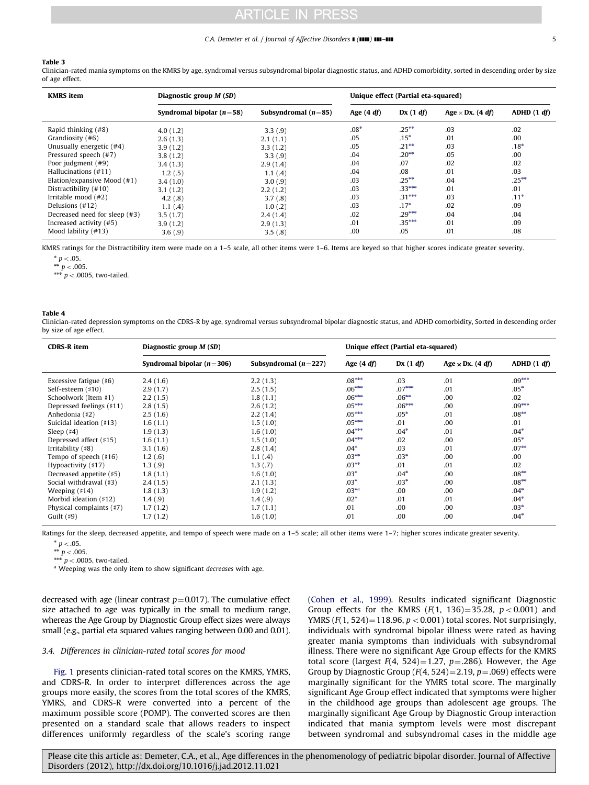## C.A. Demeter et al. / Journal of Affective Disorders **[(IIII) III-III 100 and 100 and 100 and 100 and 100 and 100 and 100 and 100 and 100 and 100 and 100 and 100 and 100 and 100 and 100 and 100 and 100 and 100 and 100 an**

## <span id="page-4-0"></span>Table 3

Clinician-rated mania symptoms on the KMRS by age, syndromal versus subsyndromal bipolar diagnostic status, and ADHD comorbidity, sorted in descending order by size of age effect.

| <b>KMRS</b> item              | Diagnostic group <i>M</i> (SD) | Unique effect (Partial eta-squared) |              |          |                         |            |
|-------------------------------|--------------------------------|-------------------------------------|--------------|----------|-------------------------|------------|
|                               | Syndromal bipolar $(n=58)$     | Subsyndromal $(n=85)$               | Age $(4 df)$ | Dx(1 df) | Age $\times$ Dx. (4 df) | ADHD(1 df) |
| Rapid thinking (#8)           | 4.0(1.2)                       | 3.3(.9)                             | $.08*$       | $.25**$  | .03                     | .02        |
| Grandiosity (#6)              | 2.6(1.3)                       | 2.1(1.1)                            | .05          | $.15*$   | .01                     | .00        |
| Unusually energetic (#4)      | 3.9(1.2)                       | 3.3(1.2)                            | .05          | $.21**$  | .03                     | $.18*$     |
| Pressured speech (#7)         | 3.8(1.2)                       | 3.3(.9)                             | .04          | $.20**$  | .05                     | .00        |
| Poor judgment (#9)            | 3.4(1.3)                       | 2.9(1.4)                            | .04          | .07      | .02                     | .02        |
| Hallucinations (#11)          | 1.2(.5)                        | 1.1(4)                              | .04          | .08      | .01                     | .03        |
| Elation/expansive Mood (#1)   | 3.4(1.0)                       | 3.0(.9)                             | .03          | $.25***$ | .04                     | $.25***$   |
| Distractibility (#10)         | 3.1(1.2)                       | 2.2(1.2)                            | .03          | $.33***$ | .01                     | .01        |
| Irritable mood $(42)$         | 4.2(.8)                        | 3.7(.8)                             | .03          | $.31***$ | .03                     | $.11*$     |
| Delusions (#12)               | 1.1(4)                         | 1.0(0.2)                            | .03          | $.17*$   | .02                     | .09        |
| Decreased need for sleep (#3) | 3.5(1.7)                       | 2.4(1.4)                            | .02          | $.29***$ | .04                     | .04        |
| Increased activity (#5)       | 3.9(1.2)                       | 2.9(1.3)                            | .01          | $.35***$ | .01                     | .09        |
| Mood lability (#13)           | 3.6(.9)                        | 3.5(.8)                             | .00          | .05      | .01                     | .08        |

KMRS ratings for the Distractibility item were made on a 1–5 scale, all other items were 1–6. Items are keyed so that higher scores indicate greater severity.

\*  $p < .05$ .<br>\*\*  $p < .005$ .<br>\*\*\*  $p < .0005$ , two-tailed.

#### Table 4

Clinician-rated depression symptoms on the CDRS-R by age, syndromal versus subsyndromal bipolar diagnostic status, and ADHD comorbidity, Sorted in descending order by size of age effect.

| <b>CDRS-R</b> item       | Diagnostic group M (SD)     | Unique effect (Partial eta-squared) |                     |             |                         |            |
|--------------------------|-----------------------------|-------------------------------------|---------------------|-------------|-------------------------|------------|
|                          | Syndromal bipolar $(n=306)$ | Subsyndromal $(n=227)$              | Age $(4 df)$        | Dx $(1 df)$ | Age $\times$ Dx. (4 df) | ADHD(1 df) |
| Excessive fatigue (#6)   | 2.4(1.6)                    | 2.2(1.3)                            | $.08***$            | .03         | .01                     | $.09***$   |
| Self-esteem (#10)        | 2.9(1.7)                    | 2.5(1.5)                            | $.06***$            | $.07***$    | .01                     | $.05*$     |
| Schoolwork (Item #1)     | 2.2(1.5)                    | 1.8(1.1)                            | $.06***$            | $.06***$    | .00                     | .02        |
| Depressed feelings (#11) | 2.8(1.5)                    | 2.6(1.2)                            | $.05***$            | $.06***$    | .00.                    | $.09***$   |
| Anhedonia (#2)           | 2.5(1.6)                    | 2.2(1.4)                            | $.05***$            | $.05*$      | .01                     | $.08***$   |
| Suicidal ideation (#13)  | 1.6(1.1)                    | 1.5(1.0)                            | $.05***$            | .01         | .00                     | .01        |
| Sleep $(44)$             | 1.9(1.3)                    | 1.6(1.0)                            | $.04***$            | $.04*$      | .01                     | $.04*$     |
| Depressed affect (#15)   | 1.6(1.1)                    | 1.5(1.0)                            | $.04***$            | .02         | .00                     | $.05*$     |
| Irritability $(48)$      | 3.1(1.6)                    | 2.8(1.4)                            | $.04*$              | .03         | .01                     | $.07**$    |
| Tempo of speech (#16)    | 1.2(.6)                     | 1.1(4)                              | $.03***$            | $.03*$      | .00.                    | .00        |
| Hypoactivity (#17)       | 1.3(.9)                     | 1.3(0.7)                            | $.03***$            | .01         | .01                     | .02        |
| Decreased appetite (#5)  | 1.8(1.1)                    | 1.6(1.0)                            | $.03*$              | $.04*$      | .00                     | $.08**$    |
| Social withdrawal (#3)   | 2.4(1.5)                    | 2.1(1.3)                            | $.03*$              | $.03*$      | .00.                    | $.08**$    |
| Weeping $(414)$          | 1.8(1.3)                    | 1.9(1.2)                            | $.03*$ <sup>a</sup> | .00         | .00                     | $.04*$     |
| Morbid ideation (#12)    | 1.4(.9)                     | 1.4(.9)                             | $.02*$              | .01         | .01                     | $.04*$     |
| Physical complaints (#7) | 1.7(1.2)                    | 1.7(1.1)                            | .01                 | .00         | .00                     | $.03*$     |
| Guilt $(49)$             | 1.7(1.2)                    | 1.6(1.0)                            | .01                 | .00         | .00                     | $.04*$     |

Ratings for the sleep, decreased appetite, and tempo of speech were made on a 1–5 scale; all other items were 1–7; higher scores indicate greater severity.

\*  $p < .05$ .<br>\*\*  $p < .005$ .<br>\*\*\*  $p < .0005$ , two-tailed.

<sup>a</sup> Weeping was the only item to show significant decreases with age.

decreased with age (linear contrast  $p=0.017$ ). The cumulative effect size attached to age was typically in the small to medium range, whereas the Age Group by Diagnostic Group effect sizes were always small (e.g., partial eta squared values ranging between 0.00 and 0.01).

## 3.4. Differences in clinician-rated total scores for mood

[Fig. 1](#page-5-0) presents clinician-rated total scores on the KMRS, YMRS, and CDRS-R. In order to interpret differences across the age groups more easily, the scores from the total scores of the KMRS, YMRS, and CDRS-R were converted into a percent of the maximum possible score (POMP). The converted scores are then presented on a standard scale that allows readers to inspect differences uniformly regardless of the scale's scoring range ([Cohen et al., 1999\)](#page-7-0). Results indicated significant Diagnostic Group effects for the KMRS  $(F(1, 136)=35.28, p<0.001)$  and YMRS ( $F(1, 524) = 118.96$ ,  $p < 0.001$ ) total scores. Not surprisingly, individuals with syndromal bipolar illness were rated as having greater mania symptoms than individuals with subsyndromal illness. There were no significant Age Group effects for the KMRS total score (largest  $F(4, 524)=1.27$ ,  $p=.286$ ). However, the Age Group by Diagnostic Group ( $F(4, 524) = 2.19$ ,  $p = .069$ ) effects were marginally significant for the YMRS total score. The marginally significant Age Group effect indicated that symptoms were higher in the childhood age groups than adolescent age groups. The marginally significant Age Group by Diagnostic Group interaction indicated that mania symptom levels were most discrepant between syndromal and subsyndromal cases in the middle age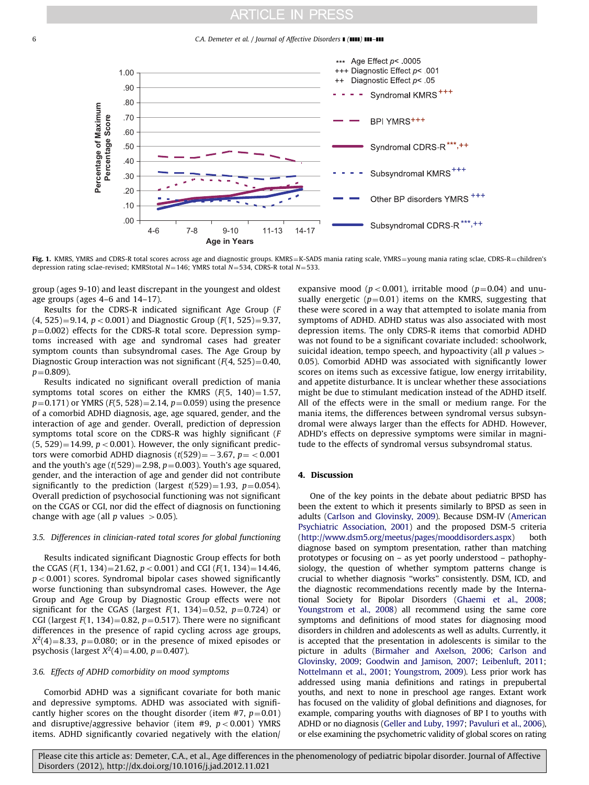<span id="page-5-0"></span>6 **C.A. Demeter et al. / Journal of Affective Disorders 1 (1111) 111-111** 



Fig. 1. KMRS, YMRS and CDRS-R total scores across age and diagnostic groups. KMRS=K-SADS mania rating scale, YMRS=young mania rating sclae, CDRS-R=children's depression rating sclae-revised; KMRStotal N=146; YMRS total N=534, CDRS-R total N=533.

group (ages 9-10) and least discrepant in the youngest and oldest age groups (ages 4–6 and 14–17).

Results for the CDRS-R indicated significant Age Group (F  $(4, 525) = 9.14$ ,  $p < 0.001$ ) and Diagnostic Group ( $F(1, 525) = 9.37$ ,  $p=0.002$ ) effects for the CDRS-R total score. Depression symptoms increased with age and syndromal cases had greater symptom counts than subsyndromal cases. The Age Group by Diagnostic Group interaction was not significant  $(F(4, 525)=0.40$ ,  $p = 0.809$ ).

Results indicated no significant overall prediction of mania symptoms total scores on either the KMRS  $(F(5, 140)=1.57$ ,  $p=0.171$ ) or YMRS (F(5, 528)=2.14,  $p=0.059$ ) using the presence of a comorbid ADHD diagnosis, age, age squared, gender, and the interaction of age and gender. Overall, prediction of depression symptoms total score on the CDRS-R was highly significant (F  $(5, 529) = 14.99$ ,  $p < 0.001$ ). However, the only significant predictors were comorbid ADHD diagnosis  $(t(529) = -3.67, p = < 0.001$ and the youth's age  $(t(529)=2.98, p=0.003)$ . Youth's age squared, gender, and the interaction of age and gender did not contribute significantly to the prediction (largest  $t(529)=1.93$ ,  $p=0.054$ ). Overall prediction of psychosocial functioning was not significant on the CGAS or CGI, nor did the effect of diagnosis on functioning change with age (all  $p$  values  $> 0.05$ ).

## 3.5. Differences in clinician-rated total scores for global functioning

Results indicated significant Diagnostic Group effects for both the CGAS ( $F(1, 134) = 21.62$ ,  $p < 0.001$ ) and CGI ( $F(1, 134) = 14.46$ ,  $p < 0.001$ ) scores. Syndromal bipolar cases showed significantly worse functioning than subsyndromal cases. However, the Age Group and Age Group by Diagnostic Group effects were not significant for the CGAS (largest  $F(1, 134)=0.52$ ,  $p=0.724$ ) or CGI (largest  $F(1, 134) = 0.82$ ,  $p = 0.517$ ). There were no significant differences in the presence of rapid cycling across age groups,  $X^2(4)=8.33$ ,  $p=0.080$ ; or in the presence of mixed episodes or psychosis (largest  $X^2(4)=4.00$ ,  $p=0.407$ ).

## 3.6. Effects of ADHD comorbidity on mood symptoms

Comorbid ADHD was a significant covariate for both manic and depressive symptoms. ADHD was associated with significantly higher scores on the thought disorder (item #7,  $p=0.01$ ) and disruptive/aggressive behavior (item #9,  $p < 0.001$ ) YMRS items. ADHD significantly covaried negatively with the elation/

expansive mood ( $p < 0.001$ ), irritable mood ( $p = 0.04$ ) and unusually energetic ( $p=0.01$ ) items on the KMRS, suggesting that these were scored in a way that attempted to isolate mania from symptoms of ADHD. ADHD status was also associated with most depression items. The only CDRS-R items that comorbid ADHD was not found to be a significant covariate included: schoolwork, suicidal ideation, tempo speech, and hypoactivity (all  $p$  values  $>$ 0.05). Comorbid ADHD was associated with significantly lower scores on items such as excessive fatigue, low energy irritability, and appetite disturbance. It is unclear whether these associations might be due to stimulant medication instead of the ADHD itself. All of the effects were in the small or medium range. For the mania items, the differences between syndromal versus subsyndromal were always larger than the effects for ADHD. However, ADHD's effects on depressive symptoms were similar in magnitude to the effects of syndromal versus subsyndromal status.

## 4. Discussion

One of the key points in the debate about pediatric BPSD has been the extent to which it presents similarly to BPSD as seen in adults [\(Carlson and Glovinsky, 2009](#page-7-0)). Because DSM-IV [\(American](#page-7-0) [Psychiatric Association, 2001\)](#page-7-0) and the proposed DSM-5 criteria (<http://www.dsm5.org/meetus/pages/mooddisorders.aspx>) both diagnose based on symptom presentation, rather than matching prototypes or focusing on – as yet poorly understood – pathophysiology, the question of whether symptom patterns change is crucial to whether diagnosis ''works'' consistently. DSM, ICD, and the diagnostic recommendations recently made by the International Society for Bipolar Disorders [\(Ghaemi et al., 2008;](#page-8-0) [Youngstrom et al., 2008](#page-8-0)) all recommend using the same core symptoms and definitions of mood states for diagnosing mood disorders in children and adolescents as well as adults. Currently, it is accepted that the presentation in adolescents is similar to the picture in adults [\(Birmaher and Axelson, 2006](#page-7-0); [Carlson and](#page-7-0) [Glovinsky, 2009](#page-7-0); [Goodwin and Jamison, 2007;](#page-8-0) [Leibenluft, 2011;](#page-8-0) [Nottelmann et al., 2001;](#page-8-0) [Youngstrom, 2009\)](#page-8-0). Less prior work has addressed using mania definitions and ratings in prepubertal youths, and next to none in preschool age ranges. Extant work has focused on the validity of global definitions and diagnoses, for example, comparing youths with diagnoses of BP I to youths with ADHD or no diagnosis [\(Geller and Luby, 1997;](#page-7-0) [Pavuluri et al., 2006\)](#page-8-0), or else examining the psychometric validity of global scores on rating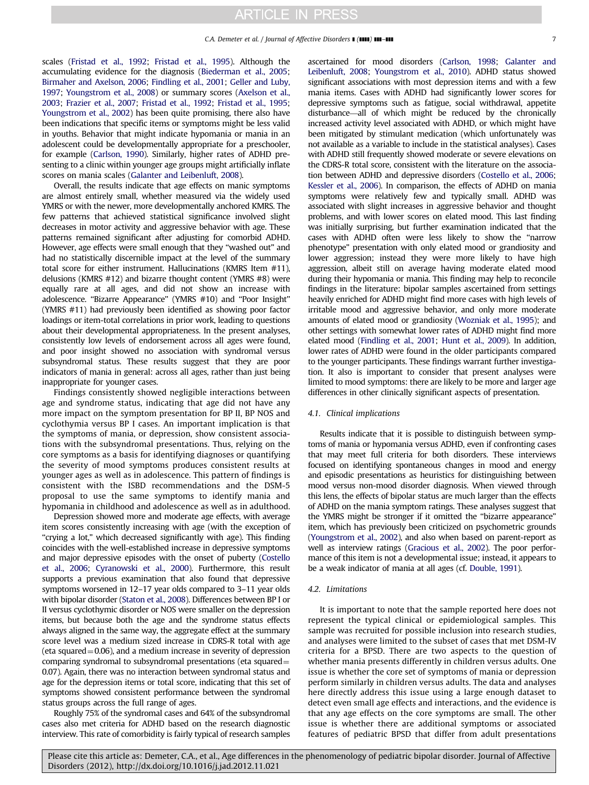scales [\(Fristad et al., 1992](#page-7-0); [Fristad et al., 1995\)](#page-7-0). Although the accumulating evidence for the diagnosis ([Biederman et al., 2005;](#page-7-0) [Birmaher and Axelson, 2006;](#page-7-0) [Findling et al., 2001](#page-7-0); [Geller and Luby,](#page-7-0) [1997](#page-7-0); [Youngstrom et al., 2008\)](#page-8-0) or summary scores [\(Axelson et al.,](#page-7-0) [2003;](#page-7-0) [Frazier et al., 2007](#page-7-0); [Fristad et al., 1992](#page-7-0); [Fristad et al., 1995;](#page-7-0) [Youngstrom et al., 2002](#page-8-0)) has been quite promising, there also have been indications that specific items or symptoms might be less valid in youths. Behavior that might indicate hypomania or mania in an adolescent could be developmentally appropriate for a preschooler, for example [\(Carlson, 1990](#page-7-0)). Similarly, higher rates of ADHD presenting to a clinic within younger age groups might artificially inflate scores on mania scales [\(Galanter and Leibenluft, 2008\)](#page-7-0).

Overall, the results indicate that age effects on manic symptoms are almost entirely small, whether measured via the widely used YMRS or with the newer, more developmentally anchored KMRS. The few patterns that achieved statistical significance involved slight decreases in motor activity and aggressive behavior with age. These patterns remained significant after adjusting for comorbid ADHD. However, age effects were small enough that they ''washed out'' and had no statistically discernible impact at the level of the summary total score for either instrument. Hallucinations (KMRS Item #11), delusions (KMRS #12) and bizarre thought content (YMRS #8) were equally rare at all ages, and did not show an increase with adolescence. ''Bizarre Appearance'' (YMRS #10) and ''Poor Insight'' (YMRS #11) had previously been identified as showing poor factor loadings or item-total correlations in prior work, leading to questions about their developmental appropriateness. In the present analyses, consistently low levels of endorsement across all ages were found, and poor insight showed no association with syndromal versus subsyndromal status. These results suggest that they are poor indicators of mania in general: across all ages, rather than just being inappropriate for younger cases.

Findings consistently showed negligible interactions between age and syndrome status, indicating that age did not have any more impact on the symptom presentation for BP II, BP NOS and cyclothymia versus BP I cases. An important implication is that the symptoms of mania, or depression, show consistent associations with the subsyndromal presentations. Thus, relying on the core symptoms as a basis for identifying diagnoses or quantifying the severity of mood symptoms produces consistent results at younger ages as well as in adolescence. This pattern of findings is consistent with the ISBD recommendations and the DSM-5 proposal to use the same symptoms to identify mania and hypomania in childhood and adolescence as well as in adulthood.

Depression showed more and moderate age effects, with average item scores consistently increasing with age (with the exception of ''crying a lot,'' which decreased significantly with age). This finding coincides with the well-established increase in depressive symptoms and major depressive episodes with the onset of puberty [\(Costello](#page-7-0) [et al., 2006;](#page-7-0) [Cyranowski et al., 2000\)](#page-7-0). Furthermore, this result supports a previous examination that also found that depressive symptoms worsened in 12–17 year olds compared to 3–11 year olds with bipolar disorder ([Staton et al., 2008\)](#page-8-0). Differences between BP I or II versus cyclothymic disorder or NOS were smaller on the depression items, but because both the age and the syndrome status effects always aligned in the same way, the aggregate effect at the summary score level was a medium sized increase in CDRS-R total with age (eta squared $=0.06$ ), and a medium increase in severity of depression comparing syndromal to subsyndromal presentations (eta squared $=$ 0.07). Again, there was no interaction between syndromal status and age for the depression items or total score, indicating that this set of symptoms showed consistent performance between the syndromal status groups across the full range of ages.

Roughly 75% of the syndromal cases and 64% of the subsyndromal cases also met criteria for ADHD based on the research diagnostic interview. This rate of comorbidity is fairly typical of research samples ascertained for mood disorders ([Carlson, 1998](#page-7-0); [Galanter and](#page-7-0) [Leibenluft, 2008;](#page-7-0) [Youngstrom et al., 2010\)](#page-8-0). ADHD status showed significant associations with most depression items and with a few mania items. Cases with ADHD had significantly lower scores for depressive symptoms such as fatigue, social withdrawal, appetite disturbance—all of which might be reduced by the chronically increased activity level associated with ADHD, or which might have been mitigated by stimulant medication (which unfortunately was not available as a variable to include in the statistical analyses). Cases with ADHD still frequently showed moderate or severe elevations on the CDRS-R total score, consistent with the literature on the association between ADHD and depressive disorders ([Costello et al., 2006;](#page-7-0) [Kessler et al., 2006](#page-8-0)). In comparison, the effects of ADHD on mania symptoms were relatively few and typically small. ADHD was associated with slight increases in aggressive behavior and thought problems, and with lower scores on elated mood. This last finding was initially surprising, but further examination indicated that the cases with ADHD often were less likely to show the ''narrow phenotype'' presentation with only elated mood or grandiosity and lower aggression; instead they were more likely to have high aggression, albeit still on average having moderate elated mood during their hypomania or mania. This finding may help to reconcile findings in the literature: bipolar samples ascertained from settings heavily enriched for ADHD might find more cases with high levels of irritable mood and aggressive behavior, and only more moderate amounts of elated mood or grandiosity [\(Wozniak et al., 1995](#page-8-0)); and other settings with somewhat lower rates of ADHD might find more elated mood [\(Findling et al., 2001](#page-7-0); [Hunt et al., 2009](#page-8-0)). In addition, lower rates of ADHD were found in the older participants compared to the younger participants. These findings warrant further investigation. It also is important to consider that present analyses were limited to mood symptoms: there are likely to be more and larger age differences in other clinically significant aspects of presentation.

## 4.1. Clinical implications

Results indicate that it is possible to distinguish between symptoms of mania or hypomania versus ADHD, even if confronting cases that may meet full criteria for both disorders. These interviews focused on identifying spontaneous changes in mood and energy and episodic presentations as heuristics for distinguishing between mood versus non-mood disorder diagnosis. When viewed through this lens, the effects of bipolar status are much larger than the effects of ADHD on the mania symptom ratings. These analyses suggest that the YMRS might be stronger if it omitted the ''bizarre appearance'' item, which has previously been criticized on psychometric grounds [\(Youngstrom et al., 2002](#page-8-0)), and also when based on parent-report as well as interview ratings ([Gracious et al., 2002\)](#page-8-0). The poor performance of this item is not a developmental issue; instead, it appears to be a weak indicator of mania at all ages (cf. [Double, 1991\)](#page-7-0).

### 4.2. Limitations

It is important to note that the sample reported here does not represent the typical clinical or epidemiological samples. This sample was recruited for possible inclusion into research studies, and analyses were limited to the subset of cases that met DSM-IV criteria for a BPSD. There are two aspects to the question of whether mania presents differently in children versus adults. One issue is whether the core set of symptoms of mania or depression perform similarly in children versus adults. The data and analyses here directly address this issue using a large enough dataset to detect even small age effects and interactions, and the evidence is that any age effects on the core symptoms are small. The other issue is whether there are additional symptoms or associated features of pediatric BPSD that differ from adult presentations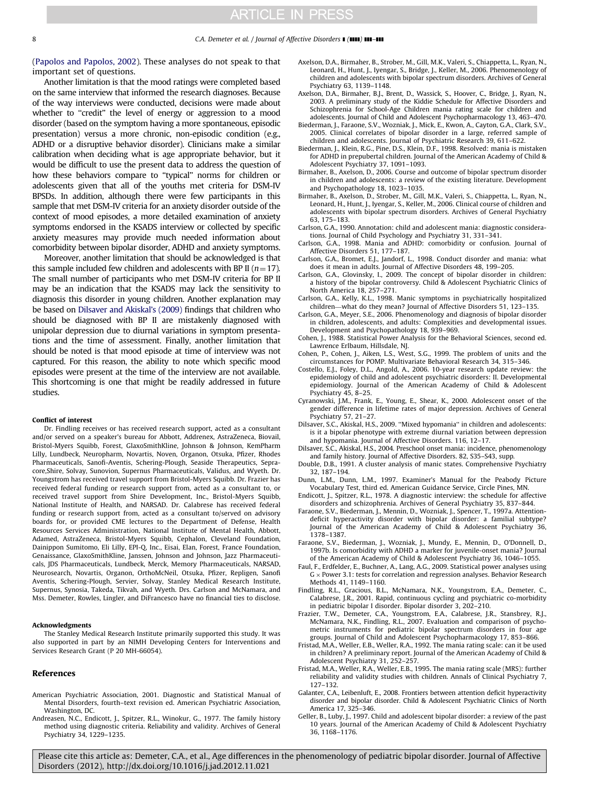<span id="page-7-0"></span>

([Papolos and Papolos, 2002\)](#page-8-0). These analyses do not speak to that important set of questions.

Another limitation is that the mood ratings were completed based on the same interview that informed the research diagnoses. Because of the way interviews were conducted, decisions were made about whether to "credit" the level of energy or aggression to a mood disorder (based on the symptom having a more spontaneous, episodic presentation) versus a more chronic, non-episodic condition (e.g., ADHD or a disruptive behavior disorder). Clinicians make a similar calibration when deciding what is age appropriate behavior, but it would be difficult to use the present data to address the question of how these behaviors compare to ''typical'' norms for children or adolescents given that all of the youths met criteria for DSM-IV BPSDs. In addition, although there were few participants in this sample that met DSM-IV criteria for an anxiety disorder outside of the context of mood episodes, a more detailed examination of anxiety symptoms endorsed in the KSADS interview or collected by specific anxiety measures may provide much needed information about comorbidity between bipolar disorder, ADHD and anxiety symptoms.

Moreover, another limitation that should be acknowledged is that this sample included few children and adolescents with BP II ( $n=17$ ). The small number of participants who met DSM-IV criteria for BP II may be an indication that the KSADS may lack the sensitivity to diagnosis this disorder in young children. Another explanation may be based on Dilsaver and Akiskal's (2009) findings that children who should be diagnosed with BP II are mistakenly diagnosed with unipolar depression due to diurnal variations in symptom presentations and the time of assessment. Finally, another limitation that should be noted is that mood episode at time of interview was not captured. For this reason, the ability to note which specific mood episodes were present at the time of the interview are not available. This shortcoming is one that might be readily addressed in future studies.

#### Conflict of interest

Dr. Findling receives or has received research support, acted as a consultant and/or served on a speaker's bureau for Abbott, Addrenex, AstraZeneca, Biovail, Bristol-Myers Squibb, Forest, GlaxoSmithKline, Johnson & Johnson, KemPharm Lilly, Lundbeck, Neuropharm, Novartis, Noven, Organon, Otsuka, Pfizer, Rhodes Pharmaceuticals, Sanofi-Aventis, Schering-Plough, Seaside Therapeutics, Sepracore,Shire, Solvay, Sunovion, Supernus Pharmaceuticals, Validus, and Wyeth. Dr. Youngstrom has received travel support from Bristol-Myers Squibb. Dr. Frazier has received federal funding or research support from, acted as a consultant to, or received travel support from Shire Development, Inc., Bristol-Myers Squibb, National Institute of Health, and NARSAD. Dr. Calabrese has received federal funding or research support from, acted as a consultant to/served on advisory boards for, or provided CME lectures to the Department of Defense, Health Resources Services Administration, National Institute of Mental Health, Abbott, Adamed, AstraZeneca, Bristol-Myers Squibb, Cephalon, Cleveland Foundation, Dainippon Sumitomo, Eli Lilly, EPI-Q, Inc., Eisai, Elan, Forest, France Foundation, Genaissance, GlaxoSmithKline, Janssen, Johnson and Johnson, Jazz Pharmaceuticals, JDS Pharmaceuticals, Lundbeck, Merck, Memory Pharmaceuticals, NARSAD, Neurosearch, Novartis, Organon, OrthoMcNeil, Otsuka, Pfizer, Repligen, Sanofi Aventis, Schering-Plough, Servier, Solvay, Stanley Medical Research Institute, Supernus, Synosia, Takeda, Tikvah, and Wyeth. Drs. Carlson and McNamara, and Mss. Demeter, Rowles, Lingler, and DiFrancesco have no financial ties to disclose.

#### Acknowledgments

The Stanley Medical Research Institute primarily supported this study. It was also supported in part by an NIMH Developing Centers for Interventions and Services Research Grant (P 20 MH-66054).

#### References

- American Psychiatric Association, 2001. Diagnostic and Statistical Manual of Mental Disorders, fourth–text revision ed. American Psychiatric Association, Washington, DC.
- Andreasen, N.C., Endicott, J., Spitzer, R.L., Winokur, G., 1977. The family history method using diagnostic criteria. Reliability and validity. Archives of General Psychiatry 34, 1229–1235.
- Axelson, D.A., Birmaher, B., Strober, M., Gill, M.K., Valeri, S., Chiappetta, L., Ryan, N., Leonard, H., Hunt, J., Iyengar, S., Bridge, J., Keller, M., 2006. Phenomenology of children and adolescents with bipolar spectrum disorders. Archives of General Psychiatry 63, 1139–1148.
- Axelson, D.A., Birmaher, B.J., Brent, D., Wassick, S., Hoover, C., Bridge, J., Ryan, N. 2003. A preliminary study of the Kiddie Schedule for Affective Disorders and Schizophrenia for School-Age Children mania rating scale for children and adolescents. Journal of Child and Adolescent Psychopharmacology 13, 463–470.
- Biederman, J., Faraone, S.V., Wozniak, J., Mick, E., Kwon, A., Cayton, G.A., Clark, S.V., 2005. Clinical correlates of bipolar disorder in a large, referred sample of children and adolescents. Journal of Psychiatric Research 39, 611–622.
- Biederman, J., Klein, R.G., Pine, D.S., Klein, D.F., 1998. Resolved: mania is mistaken for ADHD in prepubertal children. Journal of the American Academy of Child & Adolescent Psychiatry 37, 1091–1093.
- Birmaher, B., Axelson, D., 2006. Course and outcome of bipolar spectrum disorder in children and adolescents: a review of the existing literature. Development and Psychopathology 18, 1023–1035.
- Birmaher, B., Axelson, D., Strober, M., Gill, M.K., Valeri, S., Chiappetta, L., Ryan, N., Leonard, H., Hunt, J., Iyengar, S., Keller, M., 2006. Clinical course of children and adolescents with bipolar spectrum disorders. Archives of General Psychiatry 63, 175–183.
- Carlson, G.A., 1990. Annotation: child and adolescent mania: diagnostic considerations. Journal of Child Psychology and Psychiatry 31, 331–341.
- Carlson, G.A., 1998. Mania and ADHD: comorbidity or confusion. Journal of Affective Disorders 51, 177–187.
- Carlson, G.A., Bromet, E.J., Jandorf, L., 1998. Conduct disorder and mania: what does it mean in adults. Journal of Affective Disorders 48, 199–205.
- Carlson, G.A., Glovinsky, I., 2009. The concept of bipolar disorder in children: a history of the bipolar controversy. Child & Adolescent Psychiatric Clinics of North America 18, 257–271.
- Carlson, G.A., Kelly, K.L., 1998. Manic symptoms in psychiatrically hospitalized children—what do they mean? Journal of Affective Disorders 51, 123–135.
- Carlson, G.A., Meyer, S.E., 2006. Phenomenology and diagnosis of bipolar disorder in children, adolescents, and adults: Complexities and developmental issues. Development and Psychopathology 18, 939–969.
- Cohen, J., 1988. Statistical Power Analysis for the Behavioral Sciences, second ed. Lawrence Erlbaum, Hillsdale, NJ.
- Cohen, P., Cohen, J., Aiken, L.S., West, S.G., 1999. The problem of units and the circumstances for POMP. Multivariate Behavioral Research 34, 315–346.
- Costello, E.J., Foley, D.L., Angold, A., 2006. 10-year research update review: the epidemiology of child and adolescent psychiatric disorders: II. Developmental epidemiology. Journal of the American Academy of Child & Adolescent Psychiatry 45, 8–25.
- Cyranowski, J.M., Frank, E., Young, E., Shear, K., 2000. Adolescent onset of the gender difference in lifetime rates of major depression. Archives of General Psychiatry 57, 21–27.
- Dilsaver, S.C., Akiskal, H.S., 2009. ''Mixed hypomania'' in children and adolescents: is it a bipolar phenotype with extreme diurnal variation between depression and hypomania. Journal of Affective Disorders. 116, 12–17.
- Dilsaver, S.C., Akiskal, H.S., 2004. Preschool onset mania: incidence, phenomenology and family history. Journal of Affective Disorders. 82, S35–S43, supp.
- Double, D.B., 1991. A cluster analysis of manic states. Comprehensive Psychiatry 32, 187–194.
- Dunn, L.M., Dunn, L.M., 1997. Examiner's Manual for the Peabody Picture Vocabulary Test, third ed. American Guidance Service, Circle Pines, MN.
- Endicott, J., Spitzer, R.L., 1978. A diagnostic interview: the schedule for affective disorders and schizophrenia. Archives of General Psychiatry 35, 837–844.
- Faraone, S.V., Biederman, J., Mennin, D., Wozniak, J., Spencer, T., 1997a. Attentiondeficit hyperactivity disorder with bipolar disorder: a familial subtype? Journal of the American Academy of Child & Adolescent Psychiatry 36, 1378–1387.
- Faraone, S.V., Biederman, J., Wozniak, J., Mundy, E., Mennin, D., O'Donnell, D., 1997b. Is comorbidity with ADHD a marker for juvenile-onset mania? Journal of the American Academy of Child & Adolescent Psychiatry 36, 1046–1055.
- Faul, F., Erdfelder, E., Buchner, A., Lang, A.G., 2009. Statistical power analyses using  $G \times$  Power 3.1: tests for correlation and regression analyses. Behavior Research Methods 41, 1149–1160.
- Findling, R.L., Gracious, B.L., McNamara, N.K., Youngstrom, E.A., Demeter, C., Calabrese, J.R., 2001. Rapid, continuous cycling and psychiatric co-morbidity in pediatric bipolar I disorder. Bipolar disorder 3, 202–210.
- Frazier, T.W., Demeter, C.A., Youngstrom, E.A., Calabrese, J.R., Stansbrey, R.J., McNamara, N.K., Findling, R.L., 2007. Evaluation and comparison of psychometric instruments for pediatric bipolar spectrum disorders in four age groups. Journal of Child and Adolescent Psychopharmacology 17, 853–866.
- Fristad, M.A., Weller, E.B., Weller, R.A., 1992. The mania rating scale: can it be used in children? A preliminary report. Journal of the American Academy of Child & Adolescent Psychiatry 31, 252–257.
- Fristad, M.A., Weller, R.A., Weller, E.B., 1995. The mania rating scale (MRS): further reliability and validity studies with children. Annals of Clinical Psychiatry 7, 127–132.
- Galanter, C.A., Leibenluft, E., 2008. Frontiers between attention deficit hyperactivity disorder and bipolar disorder. Child & Adolescent Psychiatric Clinics of North America 17, 325–346.
- Geller, B., Luby, J., 1997. Child and adolescent bipolar disorder: a review of the past 10 years. Journal of the American Academy of Child & Adolescent Psychiatry 36, 1168–1176.